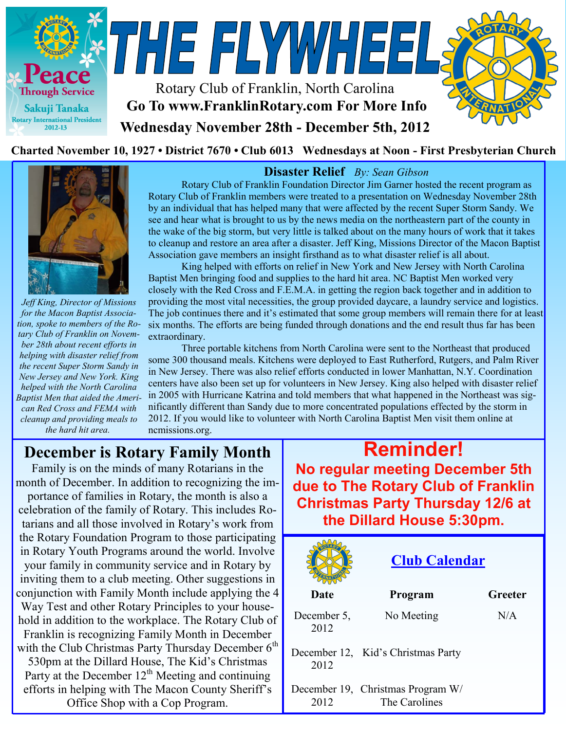

#### Charted November 10, 1927 • District 7670 • Club 6013 Wednesdays at Noon - First Presbyterian Church



*Jeff King, Director of Missions for the Macon Baptist Association, spoke to members of the Rotary Club of Franklin on November 28th about recent efforts in helping with disaster relief from the recent Super Storm Sandy in New Jersey and New York. King helped with the North Carolina Baptist Men that aided the American Red Cross and FEMA with cleanup and providing meals to the hard hit area.*

## **Disaster Relief** *By: Sean Gibson* Rotary Club of Franklin Foundation Director Jim Garner hosted the recent program as

Rotary Club of Franklin members were treated to a presentation on Wednesday November 28th by an individual that has helped many that were affected by the recent Super Storm Sandy. We see and hear what is brought to us by the news media on the northeastern part of the county in the wake of the big storm, but very little is talked about on the many hours of work that it takes to cleanup and restore an area after a disaster. Jeff King, Missions Director of the Macon Baptist Association gave members an insight firsthand as to what disaster relief is all about.

King helped with efforts on relief in New York and New Jersey with North Carolina Baptist Men bringing food and supplies to the hard hit area. NC Baptist Men worked very closely with the Red Cross and F.E.M.A. in getting the region back together and in addition to providing the most vital necessities, the group provided daycare, a laundry service and logistics. The job continues there and it's estimated that some group members will remain there for at least six months. The efforts are being funded through donations and the end result thus far has been extraordinary.

Three portable kitchens from North Carolina were sent to the Northeast that produced some 300 thousand meals. Kitchens were deployed to East Rutherford, Rutgers, and Palm River in New Jersey. There was also relief efforts conducted in lower Manhattan, N.Y. Coordination centers have also been set up for volunteers in New Jersey. King also helped with disaster relief in 2005 with Hurricane Katrina and told members that what happened in the Northeast was significantly different than Sandy due to more concentrated populations effected by the storm in 2012. If you would like to volunteer with North Carolina Baptist Men visit them online at ncmissions.org.

# **December is Rotary Family Month**

Family is on the minds of many Rotarians in the month of December. In addition to recognizing the importance of families in Rotary, the month is also a celebration of the family of Rotary. This includes Rotarians and all those involved in Rotary's work from the Rotary Foundation Program to those participating in Rotary Youth Programs around the world. Involve your family in community service and in Rotary by inviting them to a club meeting. Other suggestions in conjunction with Family Month include applying the 4 Way Test and other Rotary Principles to your household in addition to the workplace. The Rotary Club of Franklin is recognizing Family Month in December with the Club Christmas Party Thursday December  $6<sup>th</sup>$ 530pm at the Dillard House, The Kid's Christmas Party at the December  $12<sup>th</sup>$  Meeting and continuing efforts in helping with The Macon County Sheriff's

Office Shop with a Cop Program.

**Reminder! No regular meeting December 5th due to The Rotary Club of Franklin Christmas Party Thursday 12/6 at the Dillard House 5:30pm.** 

|                     | <b>Club Calendar</b>                               |         |  |  |
|---------------------|----------------------------------------------------|---------|--|--|
| Date                | Program                                            | Greeter |  |  |
| December 5,<br>2012 | No Meeting                                         | N/A     |  |  |
| 2012                | December 12, Kid's Christmas Party                 |         |  |  |
| 2012                | December 19, Christmas Program W/<br>The Carolines |         |  |  |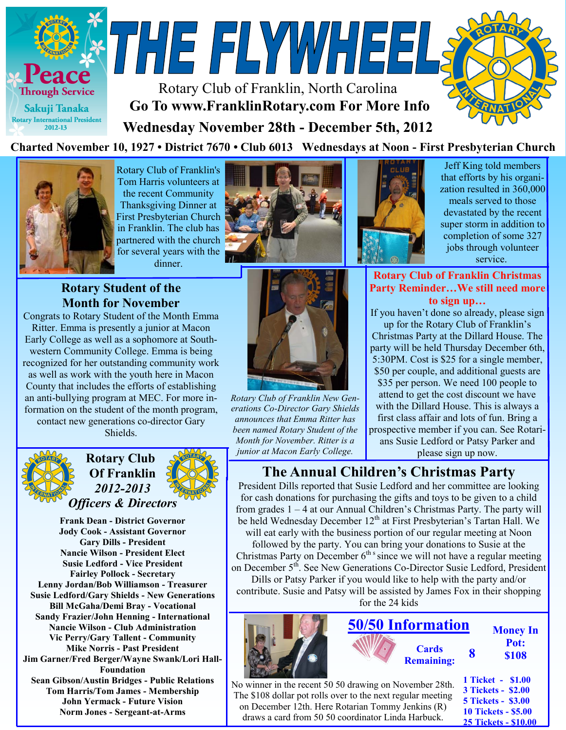



Rotary Club of Franklin's Tom Harris volunteers at the recent Community Thanksgiving Dinner at First Presbyterian Church in Franklin. The club has partnered with the church for several years with the dinner.



### **Rotary Student of the Month for November**

Congrats to Rotary Student of the Month Emma Ritter. Emma is presently a junior at Macon Early College as well as a sophomore at Southwestern Community College. Emma is being recognized for her outstanding community work as well as work with the youth here in Macon County that includes the efforts of establishing an anti-bullying program at MEC. For more information on the student of the month program, contact new generations co-director Gary

Shields.



**Rotary Club Of Franklin** *2012-2013 Officers & Directors*

**Frank Dean - District Governor Jody Cook - Assistant Governor Gary Dills - President Nancie Wilson - President Elect Susie Ledford - Vice President Fairley Pollock - Secretary Lenny Jordan/Bob Williamson - Treasurer Susie Ledford/Gary Shields - New Generations Bill McGaha/Demi Bray - Vocational Sandy Frazier/John Henning - International Nancie Wilson - Club Administration Vic Perry/Gary Tallent - Community Mike Norris - Past President Jim Garner/Fred Berger/Wayne Swank/Lori Hall-Foundation Sean Gibson/Austin Bridges - Public Relations Tom Harris/Tom James - Membership John Yermack - Future Vision Norm Jones - Sergeant-at-Arms**



*Rotary Club of Franklin New Generations Co-Director Gary Shields announces that Emma Ritter has been named Rotary Student of the Month for November. Ritter is a junior at Macon Early College.* 



Jeff King told members that efforts by his organization resulted in 360,000 meals served to those devastated by the recent super storm in addition to completion of some 327 jobs through volunteer service.

**Rotary Club of Franklin Christmas Party Reminder…We still need more to sign up…**

If you haven't done so already, please sign up for the Rotary Club of Franklin's Christmas Party at the Dillard House. The party will be held Thursday December 6th, 5:30PM. Cost is \$25 for a single member, \$50 per couple, and additional guests are \$35 per person. We need 100 people to attend to get the cost discount we have with the Dillard House. This is always a first class affair and lots of fun. Bring a prospective member if you can. See Rotarians Susie Ledford or Patsy Parker and

please sign up now.

**10 Tickets - \$5.00 25 Tickets - \$10.00**

## **The Annual Children's Christmas Party**

President Dills reported that Susie Ledford and her committee are looking for cash donations for purchasing the gifts and toys to be given to a child from grades 1 – 4 at our Annual Children's Christmas Party. The party will be held Wednesday December 12<sup>th</sup> at First Presbyterian's Tartan Hall. We will eat early with the business portion of our regular meeting at Noon followed by the party. You can bring your donations to Susie at the

Christmas Party on December  $6<sup>th s</sup>$  since we will not have a regular meeting on December 5<sup>th</sup>. See New Generations Co-Director Susie Ledford, President

Dills or Patsy Parker if you would like to help with the party and/or contribute. Susie and Patsy will be assisted by James Fox in their shopping for the 24 kids

|                                                                                                                        | <b>50/50 Information</b> |                                   |                                                                             | <b>Money In</b>      |  |
|------------------------------------------------------------------------------------------------------------------------|--------------------------|-----------------------------------|-----------------------------------------------------------------------------|----------------------|--|
|                                                                                                                        |                          | <b>Cards</b><br><b>Remaining:</b> |                                                                             | Pot:<br><b>\$108</b> |  |
| No winner in the recent 50 50 drawing on November 28th.<br>The \$108 dollar pot rolls over to the next regular meeting |                          |                                   | 1 Ticket - \$1.00<br><b>3 Tickets - \$2.00</b><br><b>5 Tickets - \$3.00</b> |                      |  |

The \$108 dollar pot rolls over to the next regular meeting on December 12th. Here Rotarian Tommy Jenkins (R) draws a card from 50 50 coordinator Linda Harbuck.